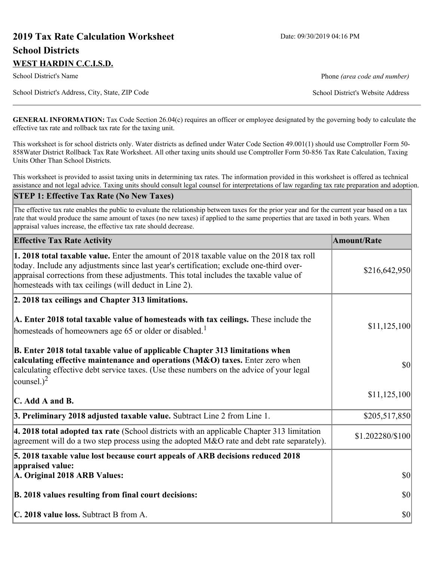# **2019 Tax Rate Calculation Worksheet** Date: 09/30/2019 04:16 PM **School Districts WEST HARDIN C.C.I.S.D.**

School District's Name **Phone** *(area code and number)* Phone *(area code and number)* 

School District's Address, City, State, ZIP Code School District's Website Address

**GENERAL INFORMATION:** Tax Code Section 26.04(c) requires an officer or employee designated by the governing body to calculate the effective tax rate and rollback tax rate for the taxing unit.

This worksheet is for school districts only. Water districts as defined under Water Code Section 49.001(1) should use Comptroller Form 50- 858Water District Rollback Tax Rate Worksheet. All other taxing units should use Comptroller Form 50-856 Tax Rate Calculation, Taxing Units Other Than School Districts.

This worksheet is provided to assist taxing units in determining tax rates. The information provided in this worksheet is offered as technical assistance and not legal advice. Taxing units should consult legal counsel for interpretations of law regarding tax rate preparation and adoption.

#### **STEP 1: Effective Tax Rate (No New Taxes)**

The effective tax rate enables the public to evaluate the relationship between taxes for the prior year and for the current year based on a tax rate that would produce the same amount of taxes (no new taxes) if applied to the same properties that are taxed in both years. When appraisal values increase, the effective tax rate should decrease.

| <b>Effective Tax Rate Activity</b>                                                                                                                                                                                                                                                                                                            | <b>Amount/Rate</b> |
|-----------------------------------------------------------------------------------------------------------------------------------------------------------------------------------------------------------------------------------------------------------------------------------------------------------------------------------------------|--------------------|
| <b>1. 2018 total taxable value.</b> Enter the amount of 2018 taxable value on the 2018 tax roll<br>today. Include any adjustments since last year's certification; exclude one-third over-<br>appraisal corrections from these adjustments. This total includes the taxable value of<br>homesteads with tax ceilings (will deduct in Line 2). | \$216,642,950      |
| 2. 2018 tax ceilings and Chapter 313 limitations.                                                                                                                                                                                                                                                                                             |                    |
| A. Enter 2018 total taxable value of homesteads with tax ceilings. These include the<br>homesteads of homeowners age 65 or older or disabled. <sup>1</sup>                                                                                                                                                                                    | \$11,125,100       |
| B. Enter 2018 total taxable value of applicable Chapter 313 limitations when<br>calculating effective maintenance and operations (M&O) taxes. Enter zero when<br>calculating effective debt service taxes. (Use these numbers on the advice of your legal<br>counsel.) <sup>2</sup>                                                           | $ 10\rangle$       |
| C. Add A and B.                                                                                                                                                                                                                                                                                                                               | \$11,125,100       |
| 3. Preliminary 2018 adjusted taxable value. Subtract Line 2 from Line 1.                                                                                                                                                                                                                                                                      | \$205,517,850      |
| 4. 2018 total adopted tax rate (School districts with an applicable Chapter 313 limitation<br>agreement will do a two step process using the adopted M&O rate and debt rate separately).                                                                                                                                                      | \$1.202280/\$100   |
| 5. 2018 taxable value lost because court appeals of ARB decisions reduced 2018                                                                                                                                                                                                                                                                |                    |
| appraised value:<br>A. Original 2018 ARB Values:                                                                                                                                                                                                                                                                                              | $ 10\rangle$       |
| B. 2018 values resulting from final court decisions:                                                                                                                                                                                                                                                                                          | $ 10\rangle$       |
| C. 2018 value loss. Subtract B from A.                                                                                                                                                                                                                                                                                                        | $ 10\rangle$       |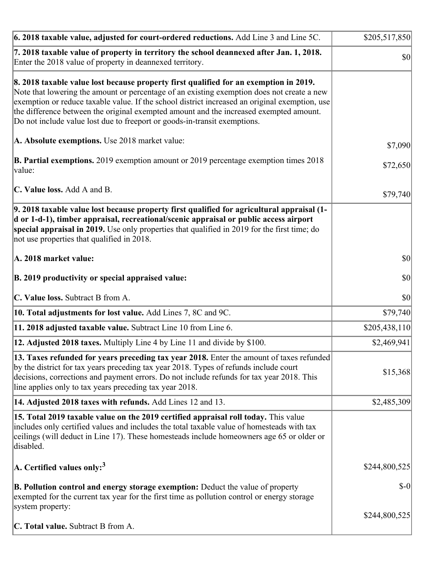| $\vert$ 6. 2018 taxable value, adjusted for court-ordered reductions. Add Line 3 and Line 5C.                                                                                                                                                                                                                                                                                                                                                                | \$205,517,850 |
|--------------------------------------------------------------------------------------------------------------------------------------------------------------------------------------------------------------------------------------------------------------------------------------------------------------------------------------------------------------------------------------------------------------------------------------------------------------|---------------|
| 7. 2018 taxable value of property in territory the school deannexed after Jan. 1, 2018.<br>Enter the 2018 value of property in deannexed territory.                                                                                                                                                                                                                                                                                                          | <b>\$0</b>    |
| 8. 2018 taxable value lost because property first qualified for an exemption in 2019.<br>Note that lowering the amount or percentage of an existing exemption does not create a new<br>exemption or reduce taxable value. If the school district increased an original exemption, use<br>the difference between the original exempted amount and the increased exempted amount.<br>Do not include value lost due to freeport or goods-in-transit exemptions. |               |
| A. Absolute exemptions. Use 2018 market value:                                                                                                                                                                                                                                                                                                                                                                                                               | \$7,090       |
| <b>B. Partial exemptions.</b> 2019 exemption amount or 2019 percentage exemption times 2018<br>value:                                                                                                                                                                                                                                                                                                                                                        | \$72,650      |
| C. Value loss. Add A and B.                                                                                                                                                                                                                                                                                                                                                                                                                                  | \$79,740      |
| 9. 2018 taxable value lost because property first qualified for agricultural appraisal (1-<br>d or 1-d-1), timber appraisal, recreational/scenic appraisal or public access airport<br>special appraisal in 2019. Use only properties that qualified in 2019 for the first time; do<br>not use properties that qualified in 2018.                                                                                                                            |               |
| A. 2018 market value:                                                                                                                                                                                                                                                                                                                                                                                                                                        | 30            |
| B. 2019 productivity or special appraised value:                                                                                                                                                                                                                                                                                                                                                                                                             | \$0           |
| C. Value loss. Subtract B from A.                                                                                                                                                                                                                                                                                                                                                                                                                            | \$0           |
| 10. Total adjustments for lost value. Add Lines 7, 8C and 9C.                                                                                                                                                                                                                                                                                                                                                                                                | \$79,740      |
| 11. 2018 adjusted taxable value. Subtract Line 10 from Line 6.                                                                                                                                                                                                                                                                                                                                                                                               | \$205,438,110 |
| 12. Adjusted 2018 taxes. Multiply Line 4 by Line 11 and divide by \$100.                                                                                                                                                                                                                                                                                                                                                                                     | \$2,469,941   |
| [13. Taxes refunded for years preceding tax year 2018. Enter the amount of taxes refunded]<br>by the district for tax years preceding tax year 2018. Types of refunds include court<br>decisions, corrections and payment errors. Do not include refunds for tax year 2018. This<br>line applies only to tax years preceding tax year 2018.                                                                                                                  | \$15,368      |
| 14. Adjusted 2018 taxes with refunds. Add Lines 12 and 13.                                                                                                                                                                                                                                                                                                                                                                                                   | \$2,485,309   |
| 15. Total 2019 taxable value on the 2019 certified appraisal roll today. This value<br>includes only certified values and includes the total taxable value of homesteads with tax<br>ceilings (will deduct in Line 17). These homesteads include homeowners age 65 or older or<br>disabled.                                                                                                                                                                  |               |
| A. Certified values only: <sup>3</sup>                                                                                                                                                                                                                                                                                                                                                                                                                       | \$244,800,525 |
| <b>B. Pollution control and energy storage exemption:</b> Deduct the value of property<br>exempted for the current tax year for the first time as pollution control or energy storage<br>system property:                                                                                                                                                                                                                                                    | $$-0$         |
| <b>C. Total value.</b> Subtract B from A.                                                                                                                                                                                                                                                                                                                                                                                                                    | \$244,800,525 |
|                                                                                                                                                                                                                                                                                                                                                                                                                                                              |               |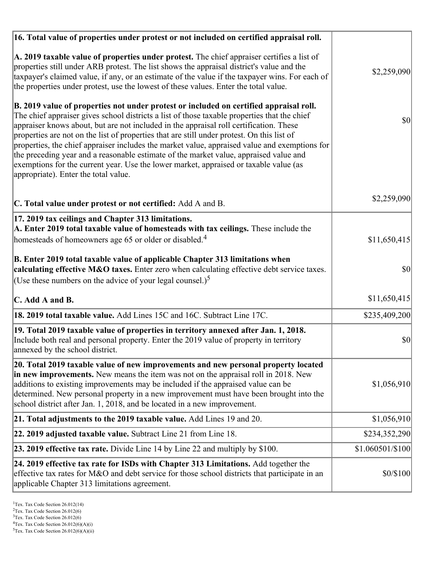| 16. Total value of properties under protest or not included on certified appraisal roll.                                                                                                                                                                                                                                                                                                                                                                                                                                                                                                                                                                                                                  |                  |
|-----------------------------------------------------------------------------------------------------------------------------------------------------------------------------------------------------------------------------------------------------------------------------------------------------------------------------------------------------------------------------------------------------------------------------------------------------------------------------------------------------------------------------------------------------------------------------------------------------------------------------------------------------------------------------------------------------------|------------------|
| A. 2019 taxable value of properties under protest. The chief appraiser certifies a list of<br>properties still under ARB protest. The list shows the appraisal district's value and the<br>taxpayer's claimed value, if any, or an estimate of the value if the taxpayer wins. For each of<br>the properties under protest, use the lowest of these values. Enter the total value.                                                                                                                                                                                                                                                                                                                        | \$2,259,090      |
| B. 2019 value of properties not under protest or included on certified appraisal roll.<br>The chief appraiser gives school districts a list of those taxable properties that the chief<br>appraiser knows about, but are not included in the appraisal roll certification. These<br>properties are not on the list of properties that are still under protest. On this list of<br>properties, the chief appraiser includes the market value, appraised value and exemptions for<br>the preceding year and a reasonable estimate of the market value, appraised value and<br>exemptions for the current year. Use the lower market, appraised or taxable value (as<br>appropriate). Enter the total value. | 30               |
| C. Total value under protest or not certified: Add A and B.                                                                                                                                                                                                                                                                                                                                                                                                                                                                                                                                                                                                                                               | \$2,259,090      |
| 17. 2019 tax ceilings and Chapter 313 limitations.<br>A. Enter 2019 total taxable value of homesteads with tax ceilings. These include the<br>homesteads of homeowners age 65 or older or disabled. <sup>4</sup>                                                                                                                                                                                                                                                                                                                                                                                                                                                                                          | \$11,650,415     |
| B. Enter 2019 total taxable value of applicable Chapter 313 limitations when<br>calculating effective M&O taxes. Enter zero when calculating effective debt service taxes.<br>(Use these numbers on the advice of your legal counsel.) <sup>5</sup>                                                                                                                                                                                                                                                                                                                                                                                                                                                       | \$0              |
| C. Add A and B.                                                                                                                                                                                                                                                                                                                                                                                                                                                                                                                                                                                                                                                                                           | \$11,650,415     |
| 18. 2019 total taxable value. Add Lines 15C and 16C. Subtract Line 17C.                                                                                                                                                                                                                                                                                                                                                                                                                                                                                                                                                                                                                                   | \$235,409,200    |
| 19. Total 2019 taxable value of properties in territory annexed after Jan. 1, 2018.<br>Include both real and personal property. Enter the 2019 value of property in territory<br>annexed by the school district.                                                                                                                                                                                                                                                                                                                                                                                                                                                                                          | \$0              |
| 20. Total 2019 taxable value of new improvements and new personal property located<br>in new improvements. New means the item was not on the appraisal roll in 2018. New<br>additions to existing improvements may be included if the appraised value can be<br>determined. New personal property in a new improvement must have been brought into the<br>school district after Jan. 1, 2018, and be located in a new improvement.                                                                                                                                                                                                                                                                        | \$1,056,910      |
| 21. Total adjustments to the 2019 taxable value. Add Lines 19 and 20.                                                                                                                                                                                                                                                                                                                                                                                                                                                                                                                                                                                                                                     | \$1,056,910      |
| 22. 2019 adjusted taxable value. Subtract Line 21 from Line 18.                                                                                                                                                                                                                                                                                                                                                                                                                                                                                                                                                                                                                                           | \$234,352,290    |
| 23. 2019 effective tax rate. Divide Line 14 by Line 22 and multiply by \$100.                                                                                                                                                                                                                                                                                                                                                                                                                                                                                                                                                                                                                             | \$1.060501/\$100 |
| 24. 2019 effective tax rate for ISDs with Chapter 313 Limitations. Add together the<br>effective tax rates for M&O and debt service for those school districts that participate in an<br>applicable Chapter 313 limitations agreement.                                                                                                                                                                                                                                                                                                                                                                                                                                                                    | \$0/\$100        |

<sup>&</sup>lt;sup>1</sup>Tex. Tax Code Section 26.012(14)

 $2$ Tex. Tax Code Section 26.012(6)

<sup>&</sup>lt;sup>3</sup>Tex. Tax Code Section 26.012(6)

 ${}^{4}$ Tex. Tax Code Section 26.012(6)(A)(i)

 $5$ Tex. Tax Code Section 26.012(6)(A)(ii)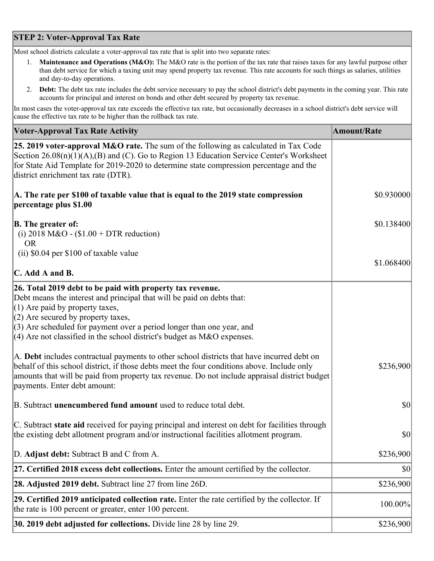## **STEP 2: Voter-Approval Tax Rate**

Most school districts calculate a voter-approval tax rate that is split into two separate rates:

- 1. **Maintenance and Operations (M&O):** The M&O rate is the portion of the tax rate that raises taxes for any lawful purpose other than debt service for which a taxing unit may spend property tax revenue. This rate accounts for such things as salaries, utilities and day-to-day operations.
- 2. **Debt:** The debt tax rate includes the debt service necessary to pay the school district's debt payments in the coming year. This rate accounts for principal and interest on bonds and other debt secured by property tax revenue.

In most cases the voter-approval tax rate exceeds the effective tax rate, but occasionally decreases in a school district's debt service will cause the effective tax rate to be higher than the rollback tax rate.

| <b>Voter-Approval Tax Rate Activity</b>                                                                                                                                                                                                                                                                                                                                  | <b>Amount/Rate</b> |
|--------------------------------------------------------------------------------------------------------------------------------------------------------------------------------------------------------------------------------------------------------------------------------------------------------------------------------------------------------------------------|--------------------|
| <b>25. 2019 voter-approval M&amp;O rate.</b> The sum of the following as calculated in Tax Code<br>Section 26.08(n)(1)(A),(B) and (C). Go to Region 13 Education Service Center's Worksheet<br>for State Aid Template for 2019-2020 to determine state compression percentage and the<br>district enrichment tax rate (DTR).                                             |                    |
| A. The rate per \$100 of taxable value that is equal to the 2019 state compression<br>percentage plus \$1.00                                                                                                                                                                                                                                                             | \$0.930000         |
| <b>B.</b> The greater of:<br>(i) 2018 M&O - $$1.00 + DTR$ reduction)<br><b>OR</b>                                                                                                                                                                                                                                                                                        | \$0.138400         |
| (ii) \$0.04 per \$100 of taxable value                                                                                                                                                                                                                                                                                                                                   |                    |
| $\mathbf C$ . Add A and B.                                                                                                                                                                                                                                                                                                                                               | \$1.068400         |
| 26. Total 2019 debt to be paid with property tax revenue.<br>Debt means the interest and principal that will be paid on debts that:<br>$(1)$ Are paid by property taxes,<br>$(2)$ Are secured by property taxes,<br>$(3)$ Are scheduled for payment over a period longer than one year, and<br>$(4)$ Are not classified in the school district's budget as M&O expenses. |                    |
| A. Debt includes contractual payments to other school districts that have incurred debt on<br>behalf of this school district, if those debts meet the four conditions above. Include only<br>amounts that will be paid from property tax revenue. Do not include appraisal district budget<br>payments. Enter debt amount:                                               | \$236,900          |
| B. Subtract unencumbered fund amount used to reduce total debt.                                                                                                                                                                                                                                                                                                          | $ 10\rangle$       |
| C. Subtract state aid received for paying principal and interest on debt for facilities through<br>the existing debt allotment program and/or instructional facilities allotment program.                                                                                                                                                                                | \$0                |
| D. Adjust debt: Subtract B and C from A.                                                                                                                                                                                                                                                                                                                                 | \$236,900          |
| 27. Certified 2018 excess debt collections. Enter the amount certified by the collector.                                                                                                                                                                                                                                                                                 | \$0                |
| <b>28. Adjusted 2019 debt.</b> Subtract line 27 from line 26D.                                                                                                                                                                                                                                                                                                           | \$236,900          |
| 29. Certified 2019 anticipated collection rate. Enter the rate certified by the collector. If<br>the rate is 100 percent or greater, enter 100 percent.                                                                                                                                                                                                                  | 100.00%            |
| 30. 2019 debt adjusted for collections. Divide line 28 by line 29.                                                                                                                                                                                                                                                                                                       | \$236,900          |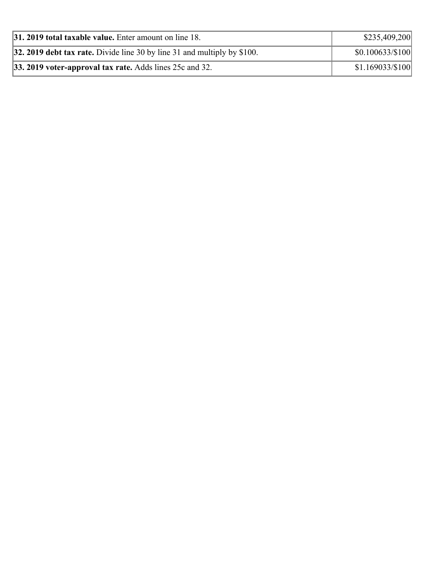| <b>31. 2019 total taxable value.</b> Enter amount on line 18.              | \$235,409,200    |  |
|----------------------------------------------------------------------------|------------------|--|
| 32. 2019 debt tax rate. Divide line 30 by line 31 and multiply by $$100$ . | \$0.100633/\$100 |  |
| 33. 2019 voter-approval tax rate. Adds lines 25c and 32.                   | \$1.169033/\$100 |  |